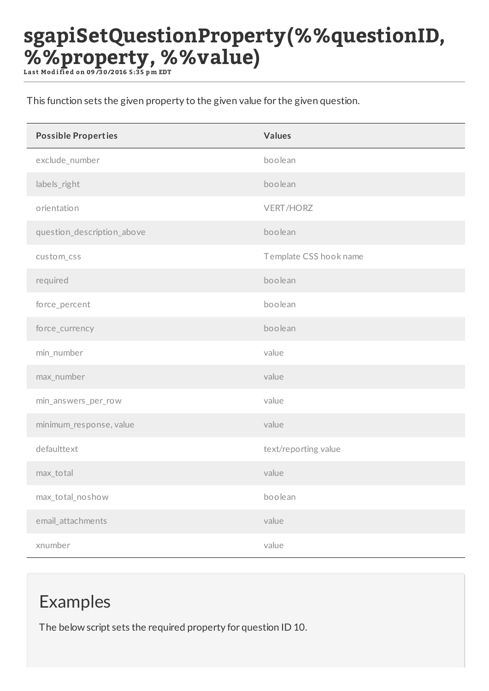## **sgapiSetQuestionProperty(%%questionID, %%property, %%value)**

**L ast Mod i fi ed on 09 /30/2016 5:35 p m EDT**

This function sets the given property to the given value for the given question.

| <b>Possible Properties</b> | <b>Values</b>          |
|----------------------------|------------------------|
| exclude_number             | boolean                |
| labels_right               | boolean                |
| orientation                | <b>VERT/HORZ</b>       |
| question_description_above | boolean                |
| custom_css                 | Template CSS hook name |
| required                   | boolean                |
| force_percent              | boolean                |
| force_currency             | boolean                |
| min_number                 | value                  |
| max_number                 | value                  |
| min_answers_per_row        | value                  |
| minimum_response, value    | value                  |
| defaulttext                | text/reporting value   |
| max_total                  | value                  |
| max_total_noshow           | boolean                |
| email_attachments          | value                  |
| xnumber                    | value                  |

## Examples

The below script sets the required property for question ID 10.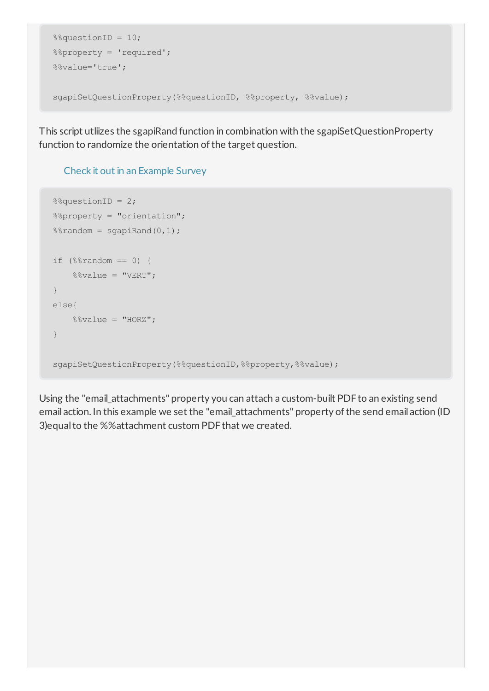```
%%questionID = 10;
%%property = 'required';
%%value='true';
sgapiSetQuestionProperty(%%questionID, %%property, %%value);
```
This script utliizes the sgapiRand function in combination with the sgapiSetQuestionProperty function to randomize the orientation of the target question.

## Check it out in an Example Survey

```
%%%%%%%%%%%%%%%%%%%%%%%%%%%%
%%property = "orientation";
%random = sqapiRand(0,1);
if (\$8random == 0) {
   %%value = "VERT";
}
else{
   %%value = "HORZ";
}
sgapiSetQuestionProperty(%%questionID,%%property,%%value);
```
Using the "email\_attachments" property you can attach a custom-built PDFto an existing send email action. In this example we set the "email attachments" property of the send email action (ID 3) equal to the %% attachment custom PDF that we created.